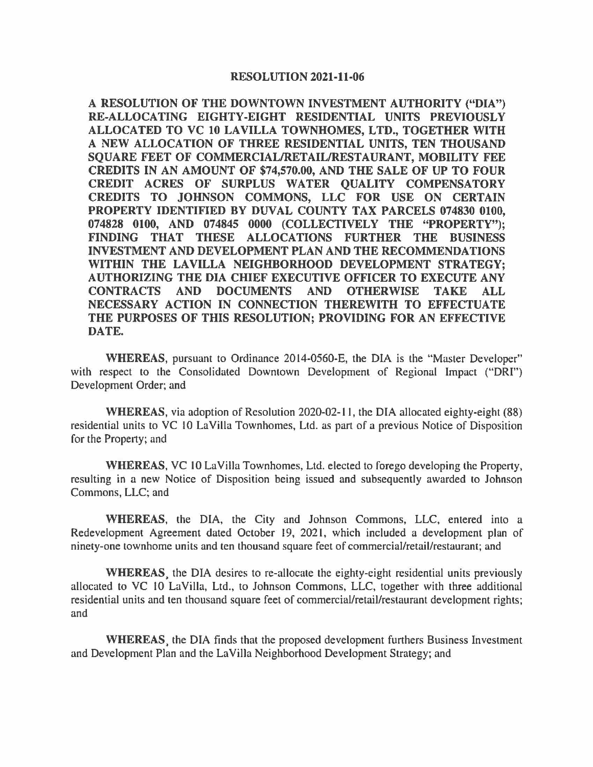## **RESOLUTION 2021-11-06**

**A RESOLUTION OF THE DOWNTOWN INVESTMENT AUTHORITY ("DIA") RE-ALLOCATING EIGHTY-EIGHT RESIDENTIAL UNITS PREVIOUSLY ALLOCATED TO VC 10 LAVILLA TOWNHOMES, LTD., TOGETHER WITH A NEW ALLOCATION OF THREE RESIDENTIAL UNITS, TEN THOUSAND SQUARE FEET OF COMMERCIAL/RETAIL/RESTAURANT, MOBILITY FEE CREDITS IN AN AMOUNT OF \$74,570.00, AND THE SALE OF UP TO FOUR CREDIT ACRES OF SURPLUS WATER QUALITY COMPENSATORY CREDITS TO JOHNSON COMMONS, LLC FOR USE ON CERTAIN PROPERTY IDENTIFIED BY DUVAL COUNTY TAX PARCELS 074830 0100, 074828 0100, AND 074845 0000 (COLLECTIVELY THE "PROPERTY"); FINDING THAT THESE ALLOCATIONS FURTHER THE BUSINESS INVESTMENT AND DEVELOPMENT PLAN AND THE RECOMMENDATIONS WITHIN THE LAVILLA NEIGHBORHOOD DEVELOPMENT STRATEGY; AUTHORIZING THE DIA CHIEF EXECUTIVE OFFICER TO EXECUTE ANY CONTRACTS AND DOCUMENTS AND OTHERWISE TAKE ALL NECESSARY ACTION IN CONNECTION THEREWITH TO EFFECTUATE THE PURPOSES OF THIS RESOLUTION; PROVIDING FOR AN EFFECTIVE DATE.** 

**WHEREAS,** pursuant to Ordinance 2014-0560-E, the DIA is the "Master Developer" with respect to the Consolidated Downtown Development of Regional Impact ("DRI") Development Order; and

**WHEREAS,** via adoption of Resolution 2020-02-11, the DIA allocated eighty-eight (88) residential units to VC 10 LaVilla Townhomes, Ltd. as part of a previous Notice of Disposition for the Property; and

**WHEREAS,** VC 10 La Villa Townhomes, Ltd. elected to forego developing the Property, resulting in a new Notice of Disposition being issued and subsequently awarded to Johnson Commons, LLC; and

**WHEREAS,** the DIA, the City and Johnson Commons, LLC, entered into a Redevelopment Agreement dated October 19, 2021, which included a development plan of ninety-one townhome units and ten thousand square feet of commercial/retail/restaurant; and

**WHEREAS.** the DIA desires to re-allocate the eighty-eight residential units previously allocated to VC 10 LaVilla, Ltd., to Johnson Commons, LLC, together with three additional residential units and ten thousand square feet of commercial/retail/restaurant development rights; and

**WHEREAS.** the DIA finds that the proposed development furthers Business Investment and Development Plan and the LaVilla Neighborhood Development Strategy; and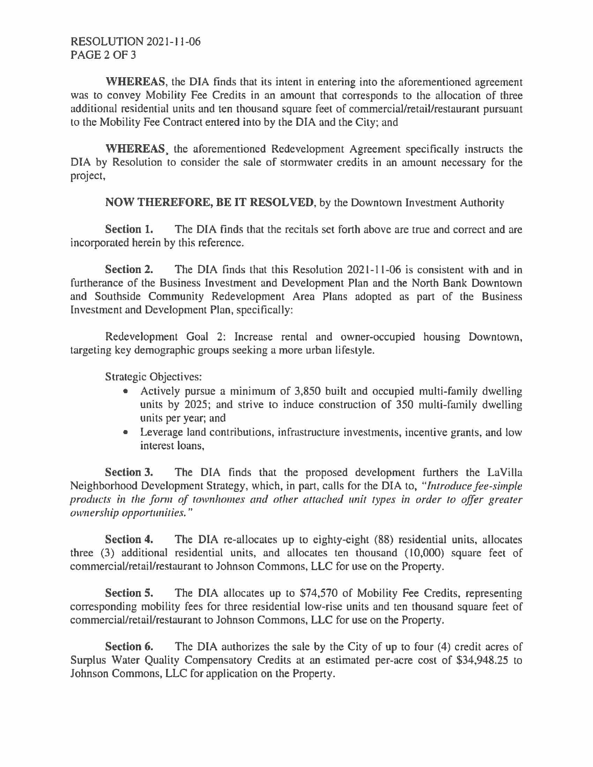**WHEREAS,** the DIA finds that its intent in entering into the aforementioned agreement was to convey Mobility Fee Credits in an amount that corresponds to the allocation of three additional residential units and ten thousand square feet of commercial/retail/restaurant pursuant to the Mobility Fee Contract entered into by the DIA and the City; and

**WHEREAS.** the aforementioned Redevelopment Agreement specifically instructs the DIA by Resolution to consider the sale of stormwater credits in an amount necessary for the project,

**NOW THEREFORE, BE IT RESOLVED,** by the Downtown Investment Authority

**Section 1.** The DIA finds that the recitals set forth above are true and correct and are incorporated herein by this reference.

**Section 2.** The DIA finds that this Resolution 2021-11-06 is consistent with and in furtherance of the Business Investment and Development Plan and the North Bank Downtown and Southside Community Redevelopment Area Plans adopted as part of the Business Investment and Development Plan, specifically:

Redevelopment Goal 2: Increase rental and owner-occupied housing Downtown, targeting key demographic groups seeking a more urban lifestyle.

Strategic Objectives:

- Actively pursue a minimum of 3,850 built and occupied multi-family dwelling units by 2025; and strive to induce construction of 350 multi-family dwelling units per year; and
- Leverage land contributions, infrastructure investments, incentive grants, and low interest loans,

**Section 3.** The DIA finds that the proposed development furthers the LaVilla Neighborhood Development Strategy, which, in part, calls for the DIA to, *"Introduce fee-simple products in the form of townhomes and other attached unit types in order to offer greater ownership opportunities."* 

**Section 4.** The DIA re-allocates up to eighty-eight (88) residential units, allocates three  $(3)$  additional residential units, and allocates ten thousand  $(10,000)$  square feet of commercial/retail/restaurant to Johnson Commons, LLC for use on the Property.

**Section S.** The DIA allocates up to \$74,570 of Mobility Fee Credits, representing corresponding mobility fees for three residential low-rise units and ten thousand square feet of commercial/retail/restaurant to Johnson Commons, LLC for use on the Property.

**Section 6.** The DIA authorizes the sale by the City of up to four (4) credit acres of Surplus Water Quality Compensatory Credits at an estimated per-acre cost of \$34,948.25 to Johnson Commons, LLC for application on the Property.